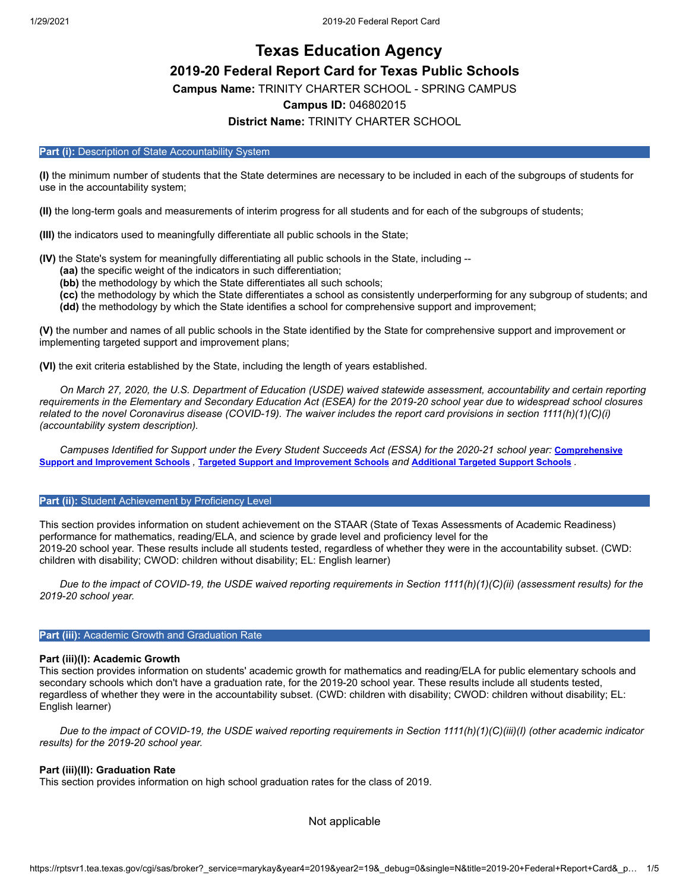# **Texas Education Agency 2019-20 Federal Report Card for Texas Public Schools**

**Campus Name:** TRINITY CHARTER SCHOOL - SPRING CAMPUS

# **Campus ID:** 046802015

# **District Name:** TRINITY CHARTER SCHOOL

# Part (i): Description of State Accountability System

**(I)** the minimum number of students that the State determines are necessary to be included in each of the subgroups of students for use in the accountability system;

**(II)** the long-term goals and measurements of interim progress for all students and for each of the subgroups of students;

**(III)** the indicators used to meaningfully differentiate all public schools in the State;

**(IV)** the State's system for meaningfully differentiating all public schools in the State, including --

**(aa)** the specific weight of the indicators in such differentiation;

**(bb)** the methodology by which the State differentiates all such schools;

**(cc)** the methodology by which the State differentiates a school as consistently underperforming for any subgroup of students; and **(dd)** the methodology by which the State identifies a school for comprehensive support and improvement;

**(V)** the number and names of all public schools in the State identified by the State for comprehensive support and improvement or implementing targeted support and improvement plans;

**(VI)** the exit criteria established by the State, including the length of years established.

*On March 27, 2020, the U.S. Department of Education (USDE) waived statewide assessment, accountability and certain reporting requirements in the Elementary and Secondary Education Act (ESEA) for the 2019-20 school year due to widespread school closures related to the novel Coronavirus disease (COVID-19). The waiver includes the report card provisions in section 1111(h)(1)(C)(i) (accountability system description).*

*[Campuses Identified for Support under the Every Student Succeeds Act \(ESSA\) for the 2020-21 school year:](https://tea.texas.gov/sites/default/files/comprehensive_support_2020.xlsx) Comprehensive* Support and [Improvement](https://tea.texas.gov/sites/default/files/targeted_support_2020.xlsx) Schools , Targeted Support and Improvement Schools and [Additional](https://tea.texas.gov/sites/default/files/additional_targeted_support_2020.xlsx) Targeted Support Schools .

## **Part (ii):** Student Achievement by Proficiency Level

This section provides information on student achievement on the STAAR (State of Texas Assessments of Academic Readiness) performance for mathematics, reading/ELA, and science by grade level and proficiency level for the 2019-20 school year. These results include all students tested, regardless of whether they were in the accountability subset. (CWD: children with disability; CWOD: children without disability; EL: English learner)

*Due to the impact of COVID-19, the USDE waived reporting requirements in Section 1111(h)(1)(C)(ii) (assessment results) for the 2019-20 school year.*

# **Part (iii): Academic Growth and Graduation Rate**

# **Part (iii)(I): Academic Growth**

This section provides information on students' academic growth for mathematics and reading/ELA for public elementary schools and secondary schools which don't have a graduation rate, for the 2019-20 school year. These results include all students tested, regardless of whether they were in the accountability subset. (CWD: children with disability; CWOD: children without disability; EL: English learner)

*Due to the impact of COVID-19, the USDE waived reporting requirements in Section 1111(h)(1)(C)(iii)(I) (other academic indicator results) for the 2019-20 school year.*

# **Part (iii)(II): Graduation Rate**

This section provides information on high school graduation rates for the class of 2019.

Not applicable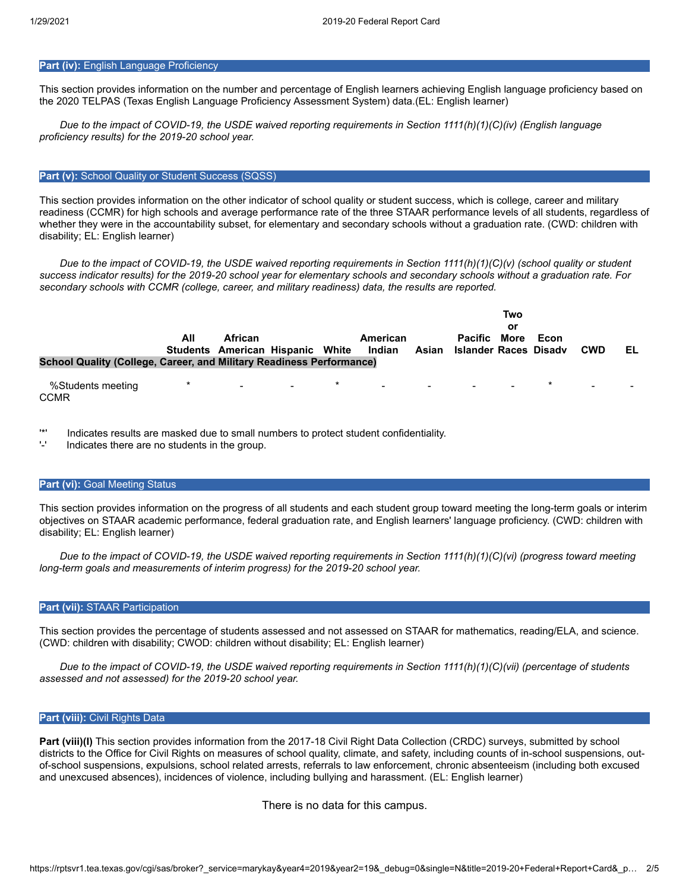# **Part (iv): English Language Proficiency**

This section provides information on the number and percentage of English learners achieving English language proficiency based on the 2020 TELPAS (Texas English Language Proficiency Assessment System) data.(EL: English learner)

*Due to the impact of COVID-19, the USDE waived reporting requirements in Section 1111(h)(1)(C)(iv) (English language proficiency results) for the 2019-20 school year.*

### **Part (v):** School Quality or Student Success (SQSS)

This section provides information on the other indicator of school quality or student success, which is college, career and military readiness (CCMR) for high schools and average performance rate of the three STAAR performance levels of all students, regardless of whether they were in the accountability subset, for elementary and secondary schools without a graduation rate. (CWD: children with disability; EL: English learner)

*Due to the impact of COVID-19, the USDE waived reporting requirements in Section 1111(h)(1)(C)(v) (school quality or student success indicator results) for the 2019-20 school year for elementary schools and secondary schools without a graduation rate. For secondary schools with CCMR (college, career, and military readiness) data, the results are reported.*

|                                                                      | All     | African                          |  | American<br>Indian                                                                                   | <b>Pacific More</b><br>Asian Islander Races Disadv | Two<br>Οľ | Econ | <b>CWD</b> | EL |
|----------------------------------------------------------------------|---------|----------------------------------|--|------------------------------------------------------------------------------------------------------|----------------------------------------------------|-----------|------|------------|----|
|                                                                      |         | Students American Hispanic White |  |                                                                                                      |                                                    |           |      |            |    |
| School Quality (College, Career, and Military Readiness Performance) |         |                                  |  |                                                                                                      |                                                    |           |      |            |    |
| %Students meeting<br><b>CCMR</b>                                     | $\star$ |                                  |  | 2012년 1월 20일 - 대한민국의 대한민국의 대한민국의 대한민국의 대한민국의 대한민국의 대한민국의 대한민국의 대한민국의 대한민국의 대한민국의 대한민국의 대한민국의 대한민국의 대 |                                                    |           |      |            |    |

'\*' Indicates results are masked due to small numbers to protect student confidentiality.

Indicates there are no students in the group.

### **Part (vi): Goal Meeting Status**

This section provides information on the progress of all students and each student group toward meeting the long-term goals or interim objectives on STAAR academic performance, federal graduation rate, and English learners' language proficiency. (CWD: children with disability; EL: English learner)

*Due to the impact of COVID-19, the USDE waived reporting requirements in Section 1111(h)(1)(C)(vi) (progress toward meeting long-term goals and measurements of interim progress) for the 2019-20 school year.*

# **Part (vii):** STAAR Participation

This section provides the percentage of students assessed and not assessed on STAAR for mathematics, reading/ELA, and science. (CWD: children with disability; CWOD: children without disability; EL: English learner)

*Due to the impact of COVID-19, the USDE waived reporting requirements in Section 1111(h)(1)(C)(vii) (percentage of students assessed and not assessed) for the 2019-20 school year.*

# **Part (viii):** Civil Rights Data

**Part (viii)(I)** This section provides information from the 2017-18 Civil Right Data Collection (CRDC) surveys, submitted by school districts to the Office for Civil Rights on measures of school quality, climate, and safety, including counts of in-school suspensions, outof-school suspensions, expulsions, school related arrests, referrals to law enforcement, chronic absenteeism (including both excused and unexcused absences), incidences of violence, including bullying and harassment. (EL: English learner)

There is no data for this campus.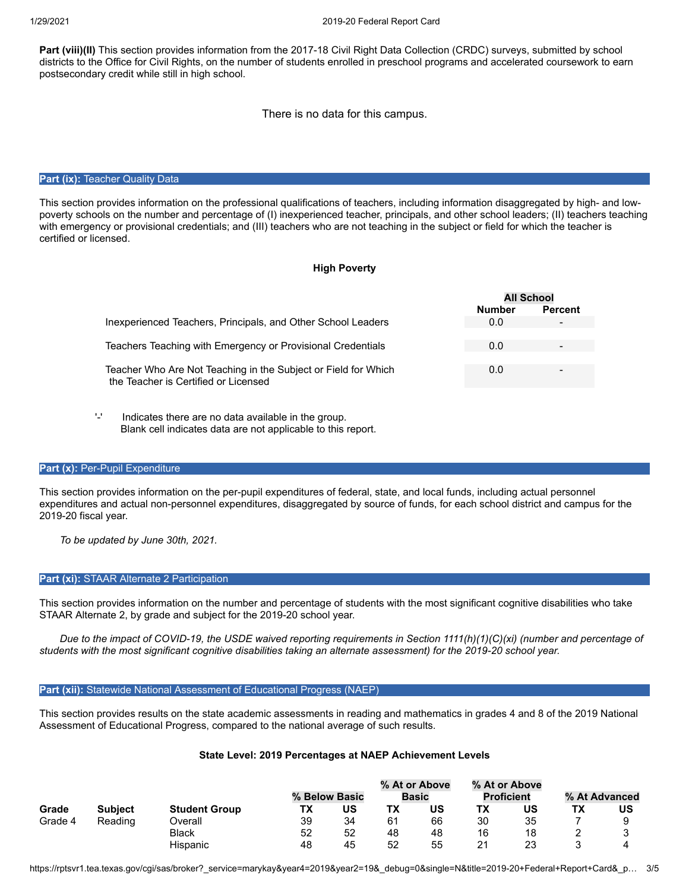**Part (viii)(II)** This section provides information from the 2017-18 Civil Right Data Collection (CRDC) surveys, submitted by school districts to the Office for Civil Rights, on the number of students enrolled in preschool programs and accelerated coursework to earn postsecondary credit while still in high school.

There is no data for this campus.

## **Part (ix): Teacher Quality Data**

This section provides information on the professional qualifications of teachers, including information disaggregated by high- and lowpoverty schools on the number and percentage of (I) inexperienced teacher, principals, and other school leaders; (II) teachers teaching with emergency or provisional credentials; and (III) teachers who are not teaching in the subject or field for which the teacher is certified or licensed.

# **High Poverty**

|                                                                                                        | <b>All School</b> |                |
|--------------------------------------------------------------------------------------------------------|-------------------|----------------|
|                                                                                                        | <b>Number</b>     | <b>Percent</b> |
| Inexperienced Teachers, Principals, and Other School Leaders                                           | 0.0               |                |
|                                                                                                        |                   |                |
| Teachers Teaching with Emergency or Provisional Credentials                                            | 0.0               |                |
|                                                                                                        |                   |                |
| Teacher Who Are Not Teaching in the Subject or Field for Which<br>the Teacher is Certified or Licensed | 0.0               |                |
|                                                                                                        |                   |                |

'-' Indicates there are no data available in the group. Blank cell indicates data are not applicable to this report.

#### **Part (x): Per-Pupil Expenditure**

This section provides information on the per-pupil expenditures of federal, state, and local funds, including actual personnel expenditures and actual non-personnel expenditures, disaggregated by source of funds, for each school district and campus for the 2019-20 fiscal year.

*To be updated by June 30th, 2021.*

## **Part (xi):** STAAR Alternate 2 Participation

This section provides information on the number and percentage of students with the most significant cognitive disabilities who take STAAR Alternate 2, by grade and subject for the 2019-20 school year.

*Due to the impact of COVID-19, the USDE waived reporting requirements in Section 1111(h)(1)(C)(xi) (number and percentage of students with the most significant cognitive disabilities taking an alternate assessment) for the 2019-20 school year.*

# **Part (xii):** Statewide National Assessment of Educational Progress (NAEP)

This section provides results on the state academic assessments in reading and mathematics in grades 4 and 8 of the 2019 National Assessment of Educational Progress, compared to the national average of such results.

#### **State Level: 2019 Percentages at NAEP Achievement Levels**

|         |                |                      |    |               |    | % At or Above |    | % At or Above     |    |               |
|---------|----------------|----------------------|----|---------------|----|---------------|----|-------------------|----|---------------|
|         |                |                      |    | % Below Basic |    | <b>Basic</b>  |    | <b>Proficient</b> |    | % At Advanced |
| Grade   | <b>Subject</b> | <b>Student Group</b> |    | บร            | ΤХ | US            |    | US                | т٧ | US            |
| Grade 4 | Reading        | .<br>Overall         | 39 | 34            | 61 | 66            | 30 | 35                |    |               |
|         |                | <b>Black</b>         | 52 | 52            | 48 | 48            | 16 | 18                |    |               |
|         |                | Hispanic             | 48 | 45            | 52 | 55            |    | 23                |    |               |

https://rptsvr1.tea.texas.gov/cgi/sas/broker?\_service=marykay&year4=2019&year2=19&\_debug=0&single=N&title=2019-20+Federal+Report+Card&\_p… 3/5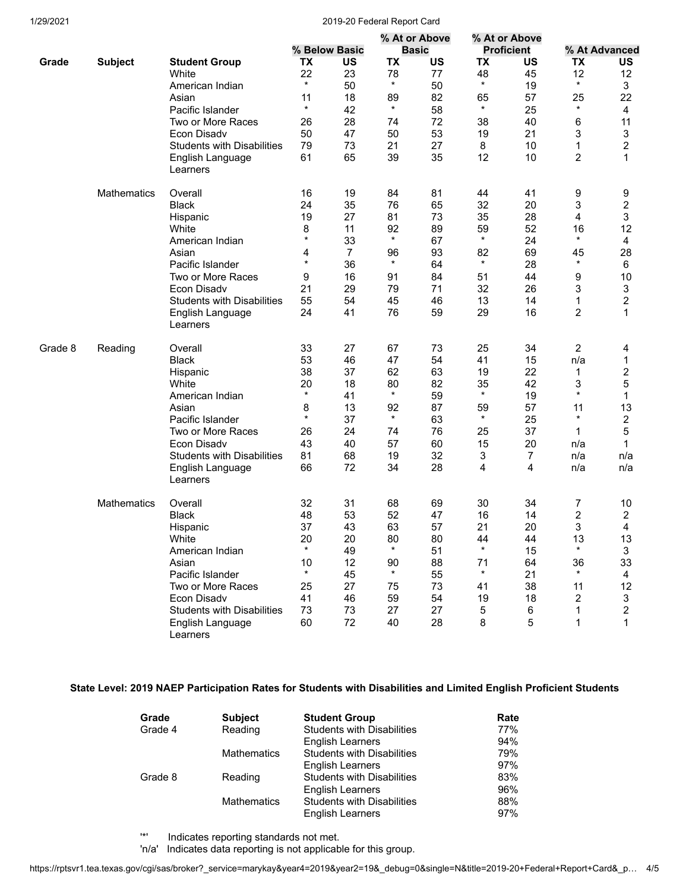### 1/29/2021 2019-20 Federal Report Card

|         |                    |                                   |                  |                |                | % At or Above |               | % At or Above     |                |                |
|---------|--------------------|-----------------------------------|------------------|----------------|----------------|---------------|---------------|-------------------|----------------|----------------|
|         |                    |                                   |                  | % Below Basic  |                | <b>Basic</b>  |               | <b>Proficient</b> |                | % At Advanced  |
| Grade   | <b>Subject</b>     | <b>Student Group</b>              | TX               | US             | TX             | US            | TX            | US                | TX             | US             |
|         |                    | White                             | 22               | 23             | 78             | 77            | 48            | 45                | 12             | 12             |
|         |                    | American Indian                   | $\star$          | 50             | $\star$        | 50            | $\star$       | 19                | $\star$        | 3              |
|         |                    | Asian                             | 11               | 18             | 89             | 82            | 65            | 57                | 25             | 22             |
|         |                    | Pacific Islander                  | $\star$          | 42             | $\star$        | 58            | $\star$       | 25                | $\star$        | $\overline{4}$ |
|         |                    | Two or More Races                 | 26               | 28             | 74             | 72            | 38            | 40                | 6              | 11             |
|         |                    | Econ Disadv                       | 50               | 47             | 50             | 53            | 19            | 21                | 3              | 3              |
|         |                    | <b>Students with Disabilities</b> | 79               | 73             | 21             | 27            | 8             | 10                | 1              | 2              |
|         |                    | English Language                  | 61               | 65             | 39             | 35            | 12            | 10                | $\overline{c}$ | $\mathbf{1}$   |
|         |                    | Learners                          |                  |                |                |               |               |                   |                |                |
|         | <b>Mathematics</b> | Overall                           | 16               | 19             | 84             | 81            | 44            | 41                | 9              | 9              |
|         |                    | <b>Black</b>                      | 24               | 35             | 76             | 65            | 32            | 20                | 3              | 2              |
|         |                    |                                   | 19               | 27             | 81             | 73            | 35            | 28                | 4              | 3              |
|         |                    | Hispanic                          |                  |                |                |               |               |                   |                |                |
|         |                    | White                             | 8<br>$\star$     | 11             | 92<br>$\star$  | 89            | 59<br>$\star$ | 52                | 16<br>$\star$  | 12             |
|         |                    | American Indian                   |                  | 33             |                | 67            |               | 24                |                | 4              |
|         |                    | Asian                             | 4                | $\overline{7}$ | 96             | 93            | 82            | 69                | 45             | 28             |
|         |                    | Pacific Islander                  | $\star$          | 36             | $\star$        | 64            | $\star$       | 28                | $\star$        | 6              |
|         |                    | Two or More Races                 | 9                | 16             | 91             | 84            | 51            | 44                | 9              | 10             |
|         |                    | Econ Disadv                       | 21               | 29             | 79             | 71            | 32            | 26                | 3              | 3              |
|         |                    | <b>Students with Disabilities</b> | 55               | 54             | 45             | 46            | 13            | 14                | 1              | 2              |
|         |                    | English Language<br>Learners      | 24               | 41             | 76             | 59            | 29            | 16                | 2              | 1              |
| Grade 8 | Reading            | Overall                           | 33               | 27             | 67             | 73            | 25            | 34                | 2              | 4              |
|         |                    | <b>Black</b>                      | 53               | 46             | 47             | 54            | 41            | 15                | n/a            | 1              |
|         |                    | Hispanic                          | 38               | 37             | 62             | 63            | 19            | 22                | 1              | 2              |
|         |                    | White                             | 20               | 18             | 80             | 82            | 35            | 42                | 3              | 5              |
|         |                    | American Indian                   | $\star$          | 41             | $^\star$       | 59            | $\star$       | 19                | $\star$        | 1              |
|         |                    |                                   |                  |                |                |               |               |                   |                |                |
|         |                    | Asian                             | 8<br>$\star$     | 13             | 92<br>$\star$  | 87            | 59<br>$\star$ | 57                | 11<br>$\star$  | 13             |
|         |                    | Pacific Islander                  |                  | 37             |                | 63            |               | 25                |                | 2              |
|         |                    | Two or More Races                 | 26               | 24             | 74             | 76            | 25            | 37                | 1              | 5              |
|         |                    | Econ Disadv                       | 43               | 40             | 57             | 60            | 15            | 20                | n/a            | 1              |
|         |                    | <b>Students with Disabilities</b> | 81               | 68             | 19             | 32            | 3             | $\overline{7}$    | n/a            | n/a            |
|         |                    | English Language<br>Learners      | 66               | 72             | 34             | 28            | 4             | 4                 | n/a            | n/a            |
|         | <b>Mathematics</b> | Overall                           | 32               | 31             | 68             | 69            | 30            | 34                | 7              | 10             |
|         |                    | <b>Black</b>                      | 48               | 53             | 52             | 47            | 16            | 14                | 2              | 2              |
|         |                    | Hispanic                          | 37               | 43             | 63             | 57            | 21            | 20                | 3              | 4              |
|         |                    | White                             | 20               | 20             | 80             | 80            | 44            | 44                | 13             | 13             |
|         |                    | American Indian                   | $^\ast$          | 49             | $\star$        | 51            | $\star$       | 15                | $\star$        | 3              |
|         |                    |                                   |                  |                |                |               |               |                   |                |                |
|         |                    | Asian                             | 10<br>$^{\star}$ | 12             | 90<br>$^\star$ | 88            | 71<br>$\star$ | 64                | 36<br>$\star$  | 33             |
|         |                    | Pacific Islander                  |                  | 45             |                | 55            |               | 21                |                | 4              |
|         |                    | Two or More Races                 | 25               | 27             | 75             | 73            | 41            | 38                | 11             | 12             |
|         |                    | Econ Disadv                       | 41               | 46             | 59             | 54            | 19            | 18                | 2              | 3              |
|         |                    | <b>Students with Disabilities</b> | 73               | 73             | 27             | 27            | 5             | 6                 | 1              | 2              |
|         |                    | English Language<br>Learners      | 60               | 72             | 40             | 28            | 8             | 5                 | 1              | $\mathbf 1$    |

# **State Level: 2019 NAEP Participation Rates for Students with Disabilities and Limited English Proficient Students**

| Grade   | <b>Subject</b>     | <b>Student Group</b>              | Rate |
|---------|--------------------|-----------------------------------|------|
| Grade 4 | Reading            | <b>Students with Disabilities</b> | 77%  |
|         |                    | English Learners                  | 94%  |
|         | <b>Mathematics</b> | <b>Students with Disabilities</b> | 79%  |
|         |                    | <b>English Learners</b>           | 97%  |
| Grade 8 | Reading            | <b>Students with Disabilities</b> | 83%  |
|         |                    | <b>English Learners</b>           | 96%  |
|         | <b>Mathematics</b> | <b>Students with Disabilities</b> | 88%  |
|         |                    | English Learners                  | 97%  |

'\*' Indicates reporting standards not met.

'n/a' Indicates data reporting is not applicable for this group.